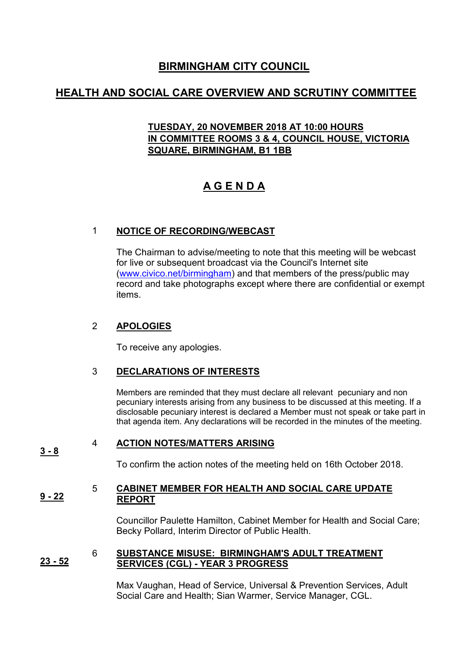# **BIRMINGHAM CITY COUNCIL**

# **HEALTH AND SOCIAL CARE OVERVIEW AND SCRUTINY COMMITTEE**

## **TUESDAY, 20 NOVEMBER 2018 AT 10:00 HOURS IN COMMITTEE ROOMS 3 & 4, COUNCIL HOUSE, VICTORIA SQUARE, BIRMINGHAM, B1 1BB**

# **A G E N D A**

### 1 **NOTICE OF RECORDING/WEBCAST**

The Chairman to advise/meeting to note that this meeting will be webcast for live or subsequent broadcast via the Council's Internet site [\(www.civico.net/birmingham\)](http://www.civico.net/birmingham) and that members of the press/public may record and take photographs except where there are confidential or exempt items.

## 2 **APOLOGIES**

To receive any apologies.

## 3 **DECLARATIONS OF INTERESTS**

Members are reminded that they must declare all relevant pecuniary and non pecuniary interests arising from any business to be discussed at this meeting. If a disclosable pecuniary interest is declared a Member must not speak or take part in that agenda item. Any declarations will be recorded in the minutes of the meeting.

### **3 - 8**  4 **ACTION NOTES/MATTERS ARISING**

To confirm the action notes of the meeting held on 16th October 2018.

#### **9 - 22** 5 **CABINET MEMBER FOR HEALTH AND SOCIAL CARE UPDATE REPORT**

Councillor Paulette Hamilton, Cabinet Member for Health and Social Care; Becky Pollard, Interim Director of Public Health.

#### **23 - 52** 6 **SUBSTANCE MISUSE: BIRMINGHAM'S ADULT TREATMENT SERVICES (CGL) - YEAR 3 PROGRESS**

Max Vaughan, Head of Service, Universal & Prevention Services, Adult Social Care and Health; Sian Warmer, Service Manager, CGL.